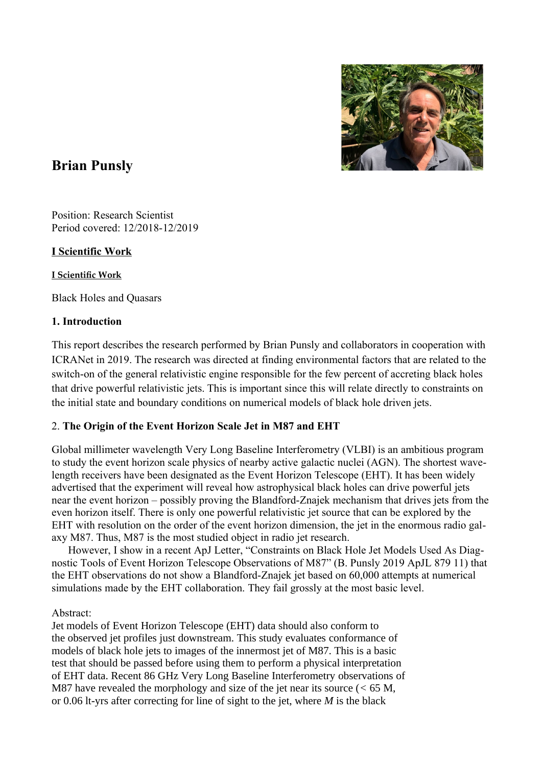

# **Brian Punsly**

Position: Research Scientist Period covered: 12/2018-12/2019

# **I Scientific Work**

### **I Scientific Work**

Black Holes and Quasars

## **1. Introduction**

This report describes the research performed by Brian Punsly and collaborators in cooperation with ICRANet in 2019. The research was directed at finding environmental factors that are related to the switch-on of the general relativistic engine responsible for the few percent of accreting black holes that drive powerful relativistic jets. This is important since this will relate directly to constraints on the initial state and boundary conditions on numerical models of black hole driven jets.

# 2. **The Origin of the Event Horizon Scale Jet in M87 and EHT**

Global millimeter wavelength Very Long Baseline Interferometry (VLBI) is an ambitious program to study the event horizon scale physics of nearby active galactic nuclei (AGN). The shortest wavelength receivers have been designated as the Event Horizon Telescope (EHT). It has been widely advertised that the experiment will reveal how astrophysical black holes can drive powerful jets near the event horizon – possibly proving the Blandford-Znajek mechanism that drives jets from the even horizon itself. There is only one powerful relativistic jet source that can be explored by the EHT with resolution on the order of the event horizon dimension, the jet in the enormous radio galaxy M87. Thus, M87 is the most studied object in radio jet research.

 However, I show in a recent ApJ Letter, "Constraints on Black Hole Jet Models Used As Diagnostic Tools of Event Horizon Telescope Observations of M87" (B. Punsly 2019 ApJL 879 11) that the EHT observations do not show a Blandford-Znajek jet based on 60,000 attempts at numerical simulations made by the EHT collaboration. They fail grossly at the most basic level.

# Abstract:

Jet models of Event Horizon Telescope (EHT) data should also conform to the observed jet profiles just downstream. This study evaluates conformance of models of black hole jets to images of the innermost jet of M87. This is a basic test that should be passed before using them to perform a physical interpretation of EHT data. Recent 86 GHz Very Long Baseline Interferometry observations of M87 have revealed the morphology and size of the jet near its source (*<* 65 M, or 0.06 lt-yrs after correcting for line of sight to the jet, where *M* is the black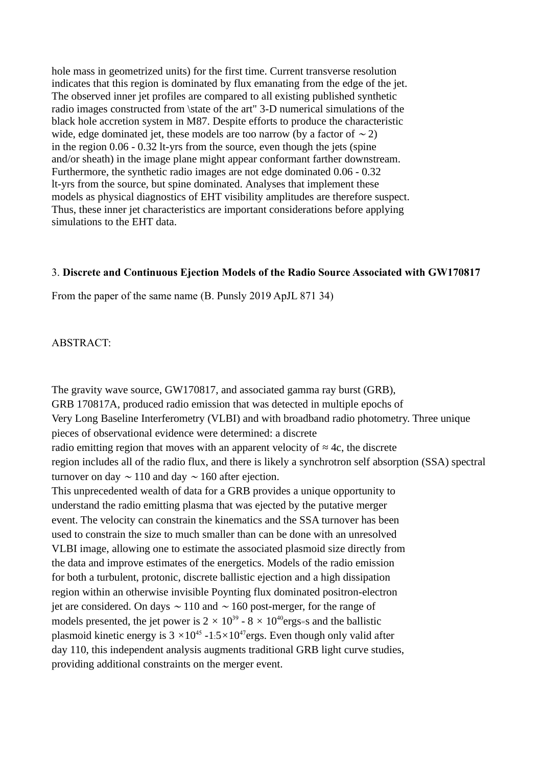hole mass in geometrized units) for the first time. Current transverse resolution indicates that this region is dominated by flux emanating from the edge of the jet. The observed inner jet profiles are compared to all existing published synthetic radio images constructed from \state of the art" 3-D numerical simulations of the black hole accretion system in M87. Despite efforts to produce the characteristic wide, edge dominated jet, these models are too narrow (by a factor of  $\sim$  2) in the region 0.06 - 0.32 lt-yrs from the source, even though the jets (spine and/or sheath) in the image plane might appear conformant farther downstream. Furthermore, the synthetic radio images are not edge dominated 0.06 - 0.32 lt-yrs from the source, but spine dominated. Analyses that implement these models as physical diagnostics of EHT visibility amplitudes are therefore suspect. Thus, these inner jet characteristics are important considerations before applying simulations to the EHT data.

#### 3. **Discrete and Continuous Ejection Models of the Radio Source Associated with GW170817**

From the paper of the same name (B. Punsly 2019 ApJL 871 34)

ABSTRACT:

The gravity wave source, GW170817, and associated gamma ray burst (GRB), GRB 170817A, produced radio emission that was detected in multiple epochs of Very Long Baseline Interferometry (VLBI) and with broadband radio photometry. Three unique pieces of observational evidence were determined: a discrete radio emitting region that moves with an apparent velocity of *≈* 4c, the discrete region includes all of the radio flux, and there is likely a synchrotron self absorption (SSA) spectral turnover on day  $\sim$  110 and day  $\sim$  160 after ejection. This unprecedented wealth of data for a GRB provides a unique opportunity to understand the radio emitting plasma that was ejected by the putative merger event. The velocity can constrain the kinematics and the SSA turnover has been used to constrain the size to much smaller than can be done with an unresolved VLBI image, allowing one to estimate the associated plasmoid size directly from the data and improve estimates of the energetics. Models of the radio emission for both a turbulent, protonic, discrete ballistic ejection and a high dissipation region within an otherwise invisible Poynting flux dominated positron-electron jet are considered. On days <sup>∼</sup> 110 and <sup>∼</sup> 160 post-merger, for the range of models presented, the jet power is  $2 \times 10^{39}$  -  $8 \times 10^{40}$  ergs=s and the ballistic plasmoid kinetic energy is  $3 \times 10^{45}$  -1:5 $\times 10^{47}$ ergs. Even though only valid after day 110, this independent analysis augments traditional GRB light curve studies, providing additional constraints on the merger event.